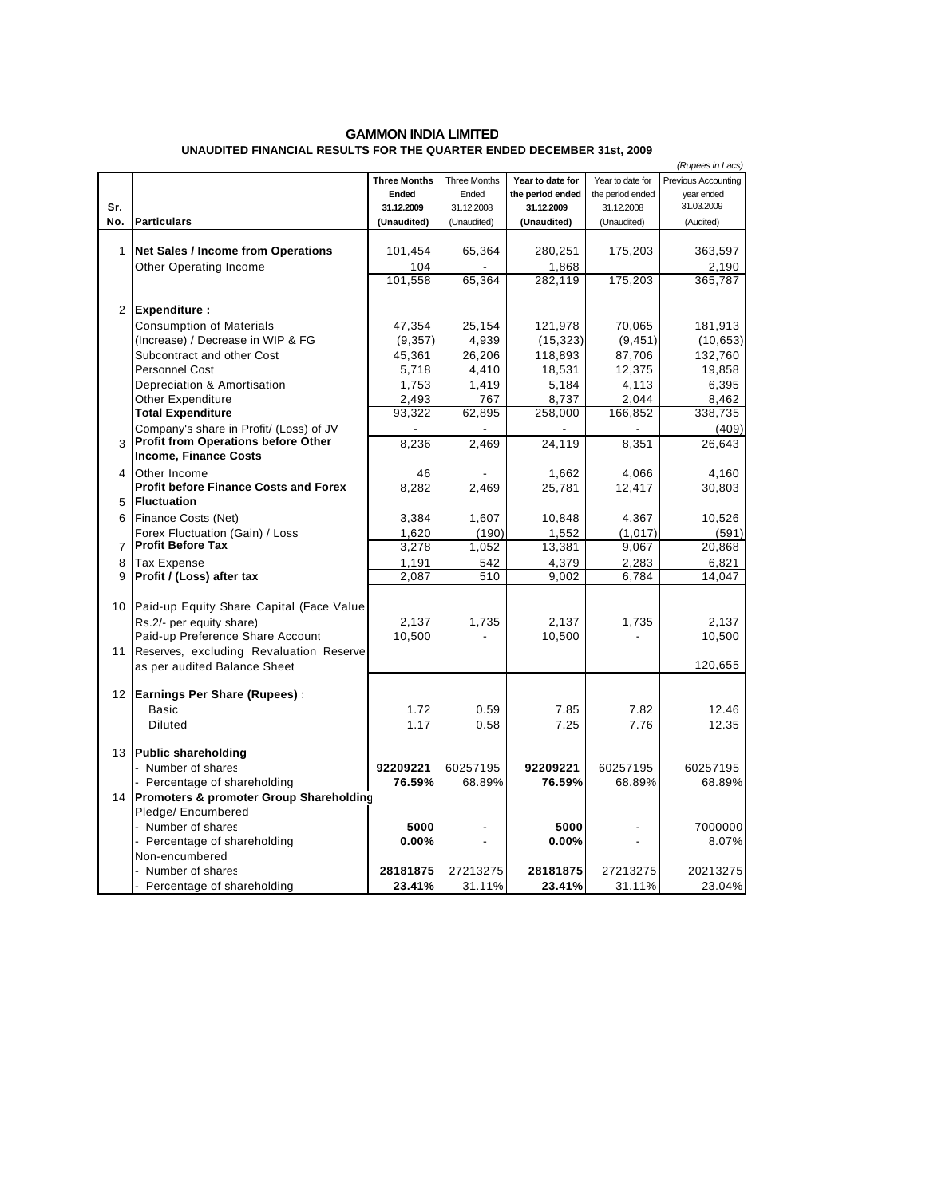## **GAMMON INDIA LIMITED UNAUDITED FINANCIAL RESULTS FOR THE QUARTER ENDED DECEMBER 31st, 2009**

|                  |                                                                                |                     |              |                  |                  | (Rupees in Lacs)    |
|------------------|--------------------------------------------------------------------------------|---------------------|--------------|------------------|------------------|---------------------|
|                  |                                                                                | <b>Three Months</b> | Three Months | Year to date for | Year to date for | Previous Accounting |
|                  |                                                                                | Ended               | Ended        | the period ended | the period ended | year ended          |
| Sr.              |                                                                                | 31.12.2009          | 31.12.2008   | 31.12.2009       | 31.12.2008       | 31.03.2009          |
| No.              | <b>Particulars</b>                                                             | (Unaudited)         | (Unaudited)  | (Unaudited)      | (Unaudited)      | (Audited)           |
|                  |                                                                                |                     |              |                  |                  |                     |
| 1                | Net Sales / Income from Operations                                             | 101,454             | 65,364       | 280,251          | 175,203          | 363,597             |
|                  | <b>Other Operating Income</b>                                                  | 104                 |              | 1,868            |                  | 2,190               |
|                  |                                                                                | 101,558             | 65,364       | 282,119          | 175,203          | 365,787             |
|                  |                                                                                |                     |              |                  |                  |                     |
| 2 <sup>1</sup>   | <b>Expenditure:</b>                                                            |                     |              |                  |                  |                     |
|                  | <b>Consumption of Materials</b>                                                | 47,354              | 25,154       | 121,978          | 70,065           | 181,913             |
|                  | (Increase) / Decrease in WIP & FG                                              | (9,357)             | 4,939        | (15, 323)        | (9, 451)         | (10, 653)           |
|                  | Subcontract and other Cost                                                     | 45,361              | 26,206       | 118,893          | 87,706           | 132,760             |
|                  | <b>Personnel Cost</b>                                                          | 5,718               | 4,410        | 18,531           | 12,375           | 19,858              |
|                  | Depreciation & Amortisation                                                    | 1,753               | 1,419        | 5,184            | 4,113            | 6,395               |
|                  | Other Expenditure                                                              |                     | 767          |                  | 2,044            |                     |
|                  | <b>Total Expenditure</b>                                                       | 2,493<br>93,322     | 62,895       | 8,737<br>258,000 | 166,852          | 8,462<br>338,735    |
|                  |                                                                                |                     |              |                  |                  |                     |
|                  | Company's share in Profit/ (Loss) of JV<br>Profit from Operations before Other |                     |              |                  |                  | (409)               |
| 3                | <b>Income, Finance Costs</b>                                                   | 8,236               | 2.469        | 24,119           | 8,351            | 26,643              |
|                  |                                                                                |                     |              |                  |                  |                     |
| 4                | Other Income                                                                   | 46                  |              | 1,662            | 4,066            | 4,160               |
|                  | <b>Profit before Finance Costs and Forex</b>                                   | 8,282               | 2,469        | 25,781           | 12,417           | 30,803              |
| 5                | <b>Fluctuation</b>                                                             |                     |              |                  |                  |                     |
| 6                | Finance Costs (Net)                                                            | 3,384               | 1,607        | 10,848           | 4,367            | 10,526              |
|                  | Forex Fluctuation (Gain) / Loss                                                | 1,620               | (190)        | 1,552            | (1, 017)         | (591)               |
| 7                | <b>Profit Before Tax</b>                                                       | 3,278               | 1,052        | 13,381           | 9,067            | 20,868              |
| 8                | <b>Tax Expense</b>                                                             | 1,191               | 542          | 4,379            | 2,283            | 6,821               |
| 9                | Profit / (Loss) after tax                                                      | $\sqrt{2,087}$      | 510          | 9,002            | 6,784            | 14,047              |
|                  |                                                                                |                     |              |                  |                  |                     |
| 10 <sup>1</sup>  | Paid-up Equity Share Capital (Face Value                                       |                     |              |                  |                  |                     |
|                  | Rs.2/- per equity share)                                                       | 2,137               | 1,735        | 2,137            | 1,735            | 2,137               |
|                  | Paid-up Preference Share Account                                               | 10,500              |              | 10,500           | $\overline{a}$   | 10,500              |
| 11               | Reserves, excluding Revaluation Reserve                                        |                     |              |                  |                  |                     |
|                  | as per audited Balance Sheet                                                   |                     |              |                  |                  | 120,655             |
|                  |                                                                                |                     |              |                  |                  |                     |
| 12 <sup>12</sup> | <b>Earnings Per Share (Rupees):</b>                                            |                     |              |                  |                  |                     |
|                  | Basic                                                                          | 1.72                | 0.59         | 7.85             | 7.82             | 12.46               |
|                  | <b>Diluted</b>                                                                 | 1.17                | 0.58         | 7.25             | 7.76             | 12.35               |
|                  |                                                                                |                     |              |                  |                  |                     |
|                  | 13 Public shareholding                                                         |                     |              |                  |                  |                     |
|                  | - Number of shares                                                             | 92209221            | 60257195     | 92209221         | 60257195         | 60257195            |
|                  | - Percentage of shareholding                                                   | 76.59%              | 68.89%       | 76.59%           | 68.89%           | 68.89%              |
| 14               | Promoters & promoter Group Shareholding                                        |                     |              |                  |                  |                     |
|                  | Pledge/ Encumbered                                                             |                     |              |                  |                  |                     |
|                  | - Number of shares                                                             | 5000                |              | 5000             |                  | 7000000             |
|                  | - Percentage of shareholding                                                   | 0.00%               |              | 0.00%            |                  | 8.07%               |
|                  | Non-encumbered                                                                 |                     |              |                  |                  |                     |
|                  | - Number of shares                                                             | 28181875            | 27213275     | 28181875         | 27213275         | 20213275            |
|                  |                                                                                |                     |              | 23.41%           |                  |                     |
|                  | - Percentage of shareholding                                                   | 23.41%              | 31.11%       |                  | 31.11%           | 23.04%              |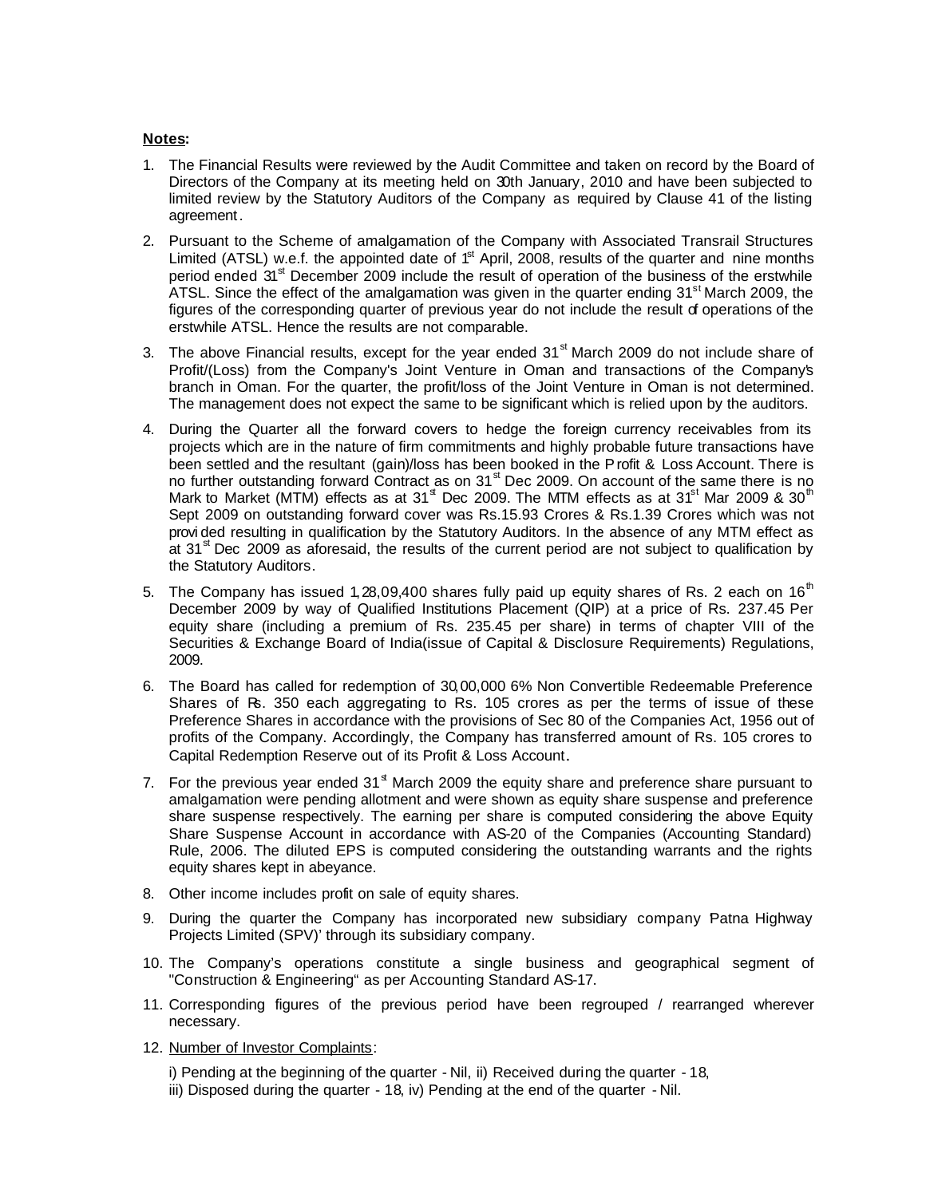## **Notes:**

- 1. The Financial Results were reviewed by the Audit Committee and taken on record by the Board of Directors of the Company at its meeting held on 30th January, 2010 and have been subjected to limited review by the Statutory Auditors of the Company as required by Clause 41 of the listing agreement.
- 2. Pursuant to the Scheme of amalgamation of the Company with Associated Transrail Structures Limited (ATSL) w.e.f. the appointed date of  $1<sup>st</sup>$  April, 2008, results of the quarter and nine months period ended 31<sup>st</sup> December 2009 include the result of operation of the business of the erstwhile ATSL. Since the effect of the amalgamation was given in the quarter ending  $31<sup>st</sup>$  March 2009, the figures of the corresponding quarter of previous year do not include the result of operations of the erstwhile ATSL. Hence the results are not comparable.
- 3. The above Financial results, except for the year ended  $31<sup>st</sup>$  March 2009 do not include share of Profit/(Loss) from the Company's Joint Venture in Oman and transactions of the Company's branch in Oman. For the quarter, the profit/loss of the Joint Venture in Oman is not determined. The management does not expect the same to be significant which is relied upon by the auditors.
- 4. During the Quarter all the forward covers to hedge the foreign currency receivables from its projects which are in the nature of firm commitments and highly probable future transactions have been settled and the resultant (gain)/loss has been booked in the Profit & Loss Account. There is no further outstanding forward Contract as on  $31<sup>st</sup>$  Dec 2009. On account of the same there is no Mark to Market (MTM) effects as at 31<sup>st</sup> Dec 2009. The MTM effects as at 31<sup>st</sup> Mar 2009 & 30<sup>th</sup> Sept 2009 on outstanding forward cover was Rs.15.93 Crores & Rs.1.39 Crores which was not provi ded resulting in qualification by the Statutory Auditors. In the absence of any MTM effect as at 31<sup>st</sup> Dec 2009 as aforesaid, the results of the current period are not subject to qualification by the Statutory Auditors.
- 5. The Company has issued 1, 28,09,400 shares fully paid up equity shares of Rs. 2 each on 16<sup>th</sup> December 2009 by way of Qualified Institutions Placement (QIP) at a price of Rs. 237.45 Per equity share (including a premium of Rs. 235.45 per share) in terms of chapter VIII of the Securities & Exchange Board of India(issue of Capital & Disclosure Requirements) Regulations, 2009.
- 6. The Board has called for redemption of 30,00,000 6% Non Convertible Redeemable Preference Shares of Rs. 350 each aggregating to Rs. 105 crores as per the terms of issue of these Preference Shares in accordance with the provisions of Sec 80 of the Companies Act, 1956 out of profits of the Company. Accordingly, the Company has transferred amount of Rs. 105 crores to Capital Redemption Reserve out of its Profit & Loss Account.
- 7. For the previous year ended  $31<sup>st</sup>$  March 2009 the equity share and preference share pursuant to amalgamation were pending allotment and were shown as equity share suspense and preference share suspense respectively. The earning per share is computed considering the above Equity Share Suspense Account in accordance with AS-20 of the Companies (Accounting Standard) Rule, 2006. The diluted EPS is computed considering the outstanding warrants and the rights equity shares kept in abeyance.
- 8. Other income includes profit on sale of equity shares.
- 9. During the quarter the Company has incorporated new subsidiary company Patna Highway Projects Limited (SPV)' through its subsidiary company.
- 10. The Company's operations constitute a single business and geographical segment of "Construction & Engineering" as per Accounting Standard AS-17.
- 11. Corresponding figures of the previous period have been regrouped / rearranged wherever necessary.
- 12. Number of Investor Complaints:

i) Pending at the beginning of the quarter - Nil, ii) Received during the quarter - 18,

iii) Disposed during the quarter - 18, iv) Pending at the end of the quarter - Nil.